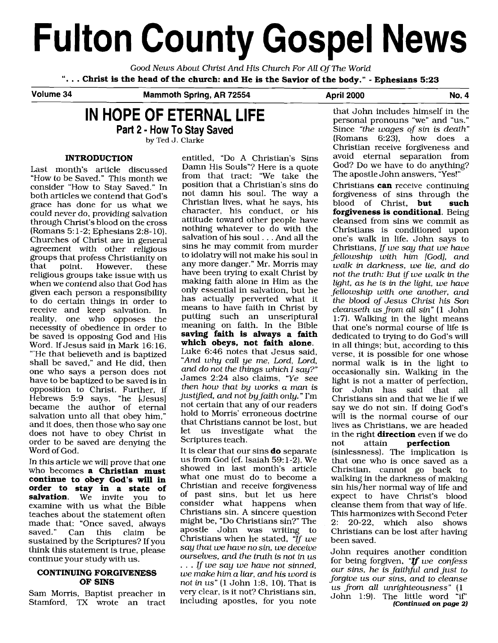# **Fulton County Gospel News**

Good News About Christ And His Church For AU Of The World

". . . **Christ is the head of the church: and He is the Savior of the body."** - **Ephesians <sup>523</sup>** -

**Volume 34 Mammoth Spring, AR 72554** 

## **IN HOPE OF ETERNAL LIFE**

**Part 2** - **How To Stay Saved** 

by Ted **J.** Clarke

#### **INTRODUCTION**

Last month's article discussed "How to be Saved." This month we consider "How to Stay Saved." In both articles we contend that God's grace has done for us what we could never do, providing salvation through Christ's blood on the cross (Romans 5:1-2; Ephesians 2:8-10). Churches of Christ are in general agreement with other religious groups that profess Christianity on<br>that point. However. these However. religious groups take issue with us when we contend also that God has given each person a responsibility to do certain things in order to receive and keep salvation. In reality, one who opposes the necessity of obedience in order to be saved is opposing God and His Word. If Jesus said in Mark 16: 16, "'He that believeth and is baptized shall be saved," and He did, then one who says a person does not have to be baptized to be saved is in opposition to Christ. Further, if Hebrews 5:9 says, "he [Jesus] became the author of eternal salvation unto all that obey him," and it does, then those who say one does not have to obey Christ in order to be saved are denying the Word of God.

In this article we will prove that one who becomes **a Christian must continue to obey God's will in order to stay in a state of salvation.** We invite you to examine with us what the Bible teaches about the statement often made that: "Once saved, always<br>saved." Can this claim be claim sustained by the Scriptures? If you think this statement is true, please continue your study with us.

#### **CONTINUING FORGIVENESS OF SINS**

Sam Morris, Baptist preacher in Stamford, TX wrote an tract

entitled, "Do A Christian's Sins Damn His Souls"? Here is a quote from that tract: "We take the position that a Christian's sins do not damn his soul. The way a Christian lives, what he says, his character, his conduct, or his attitude toward other people have nothing whatever to do with the salvation of his soul . . . And all the sins he may commit from murder to idolatry will not make his soul in any more danger." Mr. Morris may have been trying to exalt Christ by making faith alone in Him as the only essential in salvation, but he has actually perverted what it means to have faith in Christ by putting such an unscriptural meaning on faith. In the Bible **saving faith is always a faith which obeys, not faith alone.**  Luke 6:46 notes that Jesus said, "And why call ye me, Lord, Lord, and do not the things which I say?" James 2:24 also claims, "Ye see then how that by works a man is justified, and not by faith only." I'm not certain that any of our readers hold to Morris' erroneous doctrine that Christians cannot be lost, but<br>let us investigate what the let us investigate Scriptures teach.

It is clear that our sins **do** separate us from God (cf. Isaiah 59: 1-2). We showed in last month's article what one must do to become a Christian and receive forgiveness of past sins, but let us here consider what happens when Christians sin. **A** sincere question might be, "Do Christians sin?" The apostle John was writing to Christians when he stated,  $\mathbf{u}$ f we say that we have no sin, we deceive ourselves, and the truth is not in us . . . If we say we have not sinned, we make him a liar, and his word is not in us" (1 John 1:8, 10). That is very clear, is it not? Christians sin, including apostles, for you note

**April 2000 No. 4** 

that John includes himself in the personal pronouns "we" and "us." Since "the wages of sin is death" (Romans 6:23), how does a Christian receive forgiveness and avoid eternal separation from God? Do we have to do anything? The apostle John answers, "Yes!"

Christians **can** receive continuing forgiveness of sins through the<br>blood of Christ. **but such** blood of Christ, **but forgiveness is conditional.** Being cleansed from sins we commit as Christians is conditioned upon one's walk in life. John says to Christians, If we say that we have fellowship with him [God], and walk in darkness, we lie, and do not the truth: But if we walk in the light, **as** he is in the light, we have fellowship with one another, and the blood of Jesus Christ his Son cleanseth us from all sin" (1 John 1:7). Walking in the light means that one's normal course of life is dedicated to trying to do God's will in all things; but, according to this verse, it is possible for one whose normal walk is in the light to occasionally sin. Walking in the light is not a matter of perfection. for John has said that all Christians sin and that we lie if we say we do not sin. If doing God's will is the normal course of our lives as Christians, we are headed in the right **direction** even if we do not attain **perfection**  (sinlessness). The implication is that one who is once saved as a

Christian, cannot go back to walking in the darkness of making sin his/her normal way of life and expect to have Christ's blood cleanse them from that way of life. This harmonizes with Second Peter 2: 20-22, which also shows Christians can be lost after having been saved.

John requires another condition form requires another condition<br>or being forgiven,  $\mathbf{f}$  we confess our sins, he is faithful and just to forgive us our sins, and to cleanse us from all unrighteousness" (1 John 1:9). The little word "if' **[Continued** *on page* **2)**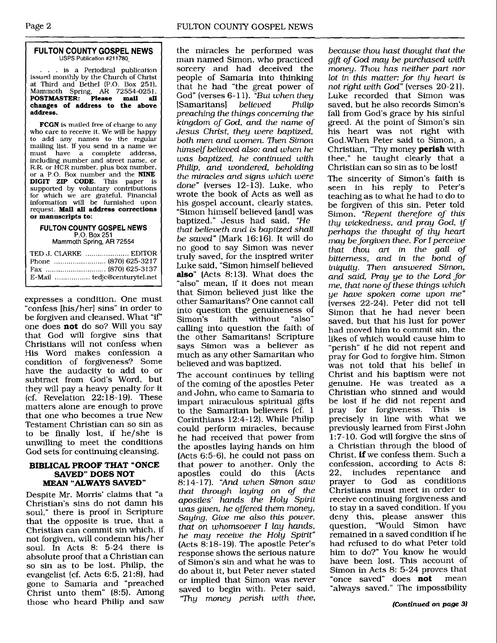#### **FULTON COUNTY GOSPEL NEWS USPS Publication #211780**

. . is a Periodical publication issued monthly by the Church of Christ at Third and Bethel (P.O. Box 251). Mammoth Spring, **AR** 72554-0251. **POSTMASTER: Please mail all changes of address to the above address.** 

**FCGN** is mailed free of charge to any who care to receive it. We will be happy to add any names to the regular mailing list. If you send in a name we<br>must have a complete address must have a complete address,<br>including number and street name, or R.R. or HCR number, plus box number, or a P.O. Box number and the NINE DIGIT **ZIP** CODE. This paper is supported by voluntary contributions for which we are grateful. Financial information will be furnished upon request. **Mail all address corrections or manuscripts to:** 

#### **FULTON COUNTY GOSPEL NEWS P.O. Box 251**  Mammoth **Spring, AR 72554**

expresses a condition. One must "confess [his/her] sins" in order to be forgiven and cleansed. What "if" one does **not** do so? Will you say that God will forgive sins that Christians will not confess when His Word makes confession a condition of forgiveness? Some have the audacity to add to or subtract from God's Word, but they will pay a heavy penalty for it  $(cf.$  Revelation  $22:18-19$ . These matters alone are enough to prove that one who becomes a true New Testament Christian can so sin as to be finally lost, if he/she is unwilling to meet the conditions God sets for continuing cleansing.

#### **BIBLICAL PROOF THAT "ONCE SAVED" DOES NOT MEAN "ALWAYS** SAVED"

Despite Mr. Morris' claims that "a Christian's sins do not damn his soul," there is proof in Scripture that the opposite is true, that a Christian can commit sin which, if not forgiven, will condemn his/her soul. In Acts 8: 5-24 there is absolute proof that a Christian can so sin as to be lost. Philip, the evangelist (cf. Acts 6:5, 21:8), had gone to Samaria and "preached Christ unto them" (8:5). Among those who heard Philip and saw

the miracles he performed was man named Simon, who practiced sorcery and had deceived the people of Samaria into thinking that he had "the great power of God" (verses 6-11). *"But when they*<br> **Samaritans Samaritans Samaritans Samaritans Samaritans C** [Samaritans] *believed Philip preaching the things concerning the kingdom of God, and the name of Jesus Christ, they were baptized, both men and women. Then Simon himself believed also: and when he was baptized, he continued with Philip, and wondered, beholding the miracles and* **signs** *which were done"* (verses 12-13). Luke, who wrote the book of Acts as well as his gospel account, clearly states, "Simon himself believed [and] was baptized." Jesus had said, *"He that believeth and is baptized shall be saved"* (Mark 16: 16). It will do no good to say Simon was never truly saved, for the inspired writer Luke said, "Simon himself believed **also"** (Acts 8:13). What does the "also" mean, if it does not mean that Simon believed just like the other Samaritans? One cannot call into question the genuineness of<br>Simon's faith without "also" Simon's faith without calling into question the faith of the other Samaritans! Scripture says Simon was a believer as much as any other Samaritan who believed and was baptized.

The account continues by telling of the coming of the apostles Peter and John, who came to Samaria to impart miraculous spiritual gifts to the Samaritan believers (cf. 1 Corinthians 12:4-12). While Philip could perform miracles, because he had received that power from the apostles laying hands on him  $(Acts 6:5-6), he could not pass on$ that power to another. Only the apostles could do this (Acts 8:14-17). "And *when Simon saw that through laying on of the apostles' hands the Holy Spirit was given, he ofered them money, Saying, Give* **me** *also this power, that on whomsoever* **1** *lay hands, he may receive the Holy Spirit"*  (Acts 8:18-19). The apostle Peter's response shows the serious nature of Simon's sin and what he was to do about it, but Peter never stated or implied that Simon was never saved to begin with. Peter said, *'Thy money perish with thee,* 

*because thou hast thought that the gift of God may be purchased with money. Thou has neither part nor lot in this matter: for thy heart is not right with God"* [verses 20-21). Luke recorded that Simon was saved, but he also records Simon's fall from God's grace by his sinful greed. At the point of Simon's sin his heart was not right with God.When Peter said to Simon, a Christian, 'Thy money **perish** with thee," he taught clearly that a Christian can so sin as to be lost!

The sincerity of Simon's faith is seen in his reply to Peter's teaching as to what he had to do to be forgiven of this sin. Peter told Simon, *"Repent therefore of this thy wickedness, and pray God, perhaps the thought of thy heart may be forgiven thee. For I perceive that thou art in the gall of bitterness, and in the bond of iniquity. Then answered Simon, and said Pray ye to the Lord for me, that none of these things which ye have spoken come upon me"*  (verses 22-24). Peter did not tell Simon that he had never been saved, but that his lust for power had moved him to commit sin, the likes of which would cause him to "perish" if he did not repent and pray for God to forgive him. Simon was not told that his belief in Christ and his baptism were not genuine. He was treated as a Christian who sinned and would be lost if he did not repent and pray for forgiveness. This is precisely in line with what we previously learned from First John 1:7-10. God will forgive the sins of a Christian through the blood of Christ, **if** we confess them. Such a confession, according to Acts 8: includes repentance and prayer to God as conditions Christians must meet in order to receive continuing forgiveness and to stay in a saved condition. If you deny this, please answer this question, "Would Simon have "Would Simon have remained in a saved condition if he had refused to do what Peter told him to do?" You know he would have been lost. This account of Simon in Acts 8: 5-24 proves that "once saved" does **not** mean "always saved." The impossibility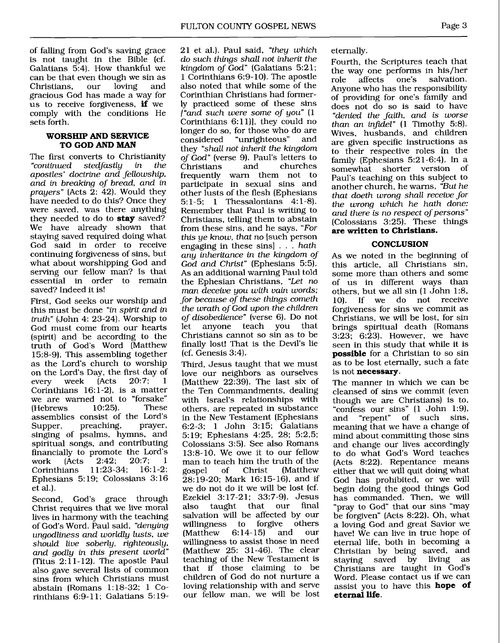of falling from God's saving grace is not taught in the Bible (cf. Galatians 5:4). How thankful we can be that even though we sin as<br>Christians. our loving and Christians. gracious God has made a way for us to receive forgiveness, **if** we comply with the conditions He sets forth.

#### **WORSHIP AND SERVICE TO GOD AND MAN**

The first converts to Christianity<br>
"continued stedfastly in the stedfastly in apostles' doctrine and fellowship, and in breaking of bread, and in *prayers*" (Acts  $2: 42$ ). Would they have needed to do this? Once they were saved, was there anything they needed to do to **stay** saved? We have already shown that staying saved required doing what God said in order to receive continuing forgiveness of sins, but what about worshipping God and serving our fellow man? Is that essential in order to remain saved? Indeed it is!

First, God seeks our worship and this must be done "in spirit and in truth" (John 4: 23-24). Worship to God must come from our hearts (spirit) and be according to the truth of God's Word (Matthew 15:8-9). This assembling together as the Lord's church to worship on the Lord's Day, the first day of<br>every week  $(Acts 20:7; 1)$ every week (Acts Corinthians  $16:1-2$ , is a matter we are warned not to "forsake"<br>
(Hebrews 10:25). These **Hebrews** assemblies consist of the Lord's<br>Supper, preaching, prayer, preaching, singing of psalms, hymns, and spiritual songs, and contributing financially to promote the Lord's<br>work (Acts  $2:42: 20:7: 1$ work (Acts 2:42; 20:7; 1<br>Corinthians 11:23-34; 16:1-2; Corinthians Ephesians 5: 19; Colossians 3: 16 et al.).

Second, God's grace through Christ requires that we live moral lives in harmony with the teaching of God's Word. Paul said, "denying ungodliness and worldly lusts, we should live soberly, righteously, and godly in this present world" (Titus  $2:11-12$ ). The apostle Paul also gave several lists of common sins from which Christians must abstain (Romans 1: 18-32; 1 Corinthians 6:9-11; Galatians 5:1921 et al.). Paul said, "they which do such things shall not inherit the kingdom of God" (Galatians 5:21; 1 Corinthians 6:9-10). The apostle also noted that while some of the Corinthian Christians had formerly practiced some of these sins  $\int$  and such were some of you"  $(1)$ Corinthians  $6:11$ ], they could no longer do so, for those who do are<br>considered "unrighteous" and "unrighteous" they "shall not inherit the kingdom of God" (verse 9). Paul's letters to<br>Christians and churches Christians and churches frequently warn them not to participate in sexual sins and other lusts of the flesh (Ephesians 5: 1-5; 1 Thessalonians 4: 1-8). Remember that Paul is writing to Christians, telling them to abstain from these sins, and he says, "For this ye know, that no [such person engaging in these sins] . . . hath any inheritance in the kingdom of God and Christ" (Ephesians 5:5). As an additional warning Paul told the Ephesian Christians, "Let no man deceive you with vain words; for because of these things cometh the wrath of God upon the children of disobedience" (verse 6). Do not let anyone teach you that Christians cannot so sin as to be finally lost! That is the Devil's lie (cf. Genesis 3:4).

Third, Jesus taught that we must love our neighbors as ourselves (Matthew 22:39). The last six of the Ten Commandments, dealing with Israel's relationships with others, are repeated in substance in the New Testament (Ephesians 6:2-3; 1 John 3:15; Galatians 5:19; Ephesians 4:25, 28; 5:2,5; Colossians 3:5). See also Romans 13:8-10. We owe it to our fellow man to teach him the truth of the<br>gospel of Christ (Matthew (Matthew 28: 19-20; Mark 16: 15- 16), and if we do not do it we will be lost (cf. Ezekiel 3: 17-21; 33:7-9). Jesus also taught that our final salvation will be affected by our<br>willingness to forgive others willingness to forgive others<br>(Matthew 6:14-15) and our  $(Mat$ hew willingness to assist those in need (Matthew 25: 31-46). The clear teaching of the New Testament is that if those claiming to be children of God do not nurture a loving relationship with and serve our fellow man, we will be lost

eternally.

Fourth, the Scriptures teach that the way one performs in his/her<br>role affects one's salvation. role affects one's salvation. Anyone who has the responsibility of providing for one's family and does not do so is said to have "denied the faith, and is worse than an infidel"  $(1$  Timothy 5:8). Wives, husbands, and children are given specific instructions as to their respective roles in the family (Ephesians 5:21-6:4). In a somewhat shorter version of Paul's teaching on this subject to another church, he warns, "But he that doeth wrong shall receive for the wrong which he hath done: and there is no respect of persons" (Colossians 3:25). These things **are written to Christians.** 

#### **CONCLUSION**

As we noted in the beginning of this article, all Christians sin, some more than others and some of us in different ways than others, but we all sin  $(1 \text{ John } 1:8, 10)$ . If we do not receive If we do not receive forgiveness for sins we commit as Christians, we will be lost, for sin brings spiritual death (Romans  $3:23$ ;  $6:23$ ). However, we have seen in this study that while it is **possible** for a Christian to so sin as to be lost eternally, such a fate is not **necessary.** 

The manner in which we can be cleansed of sins we commit (even though we are Christians) is to, "confess our sins" (1 John 1:9),<br>and "repent" of such sins, of such sins, meaning that we have a change of mind about committing those sins and change our lives accordingly to do what God's Word teaches (Acts 8:22). Repentance means either that we will quit doing what God has prohibited, or we will begin doing the good things God has commanded. Then, we will "pray to God" that our sins "may be forgiven" (Acts 8:22). Oh, what a loving God and great Savior we have! We can live in true hope of eternal life, both in becoming a Christian by being saved, and<br>staving saved by living as staying saved by Christians are taught in God's Word. Please contact us if we can assist you to have this **hope of eternal life.**